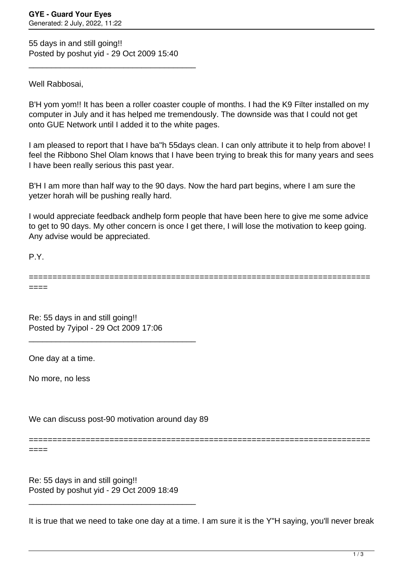55 days in and still going!! Posted by poshut yid - 29 Oct 2009 15:40

\_\_\_\_\_\_\_\_\_\_\_\_\_\_\_\_\_\_\_\_\_\_\_\_\_\_\_\_\_\_\_\_\_\_\_\_\_

Well Rabbosai,

B'H yom yom!! It has been a roller coaster couple of months. I had the K9 Filter installed on my computer in July and it has helped me tremendously. The downside was that I could not get onto GUE Network until I added it to the white pages.

I am pleased to report that I have ba"h 55days clean. I can only attribute it to help from above! I feel the Ribbono Shel Olam knows that I have been trying to break this for many years and sees I have been really serious this past year.

B'H I am more than half way to the 90 days. Now the hard part begins, where I am sure the yetzer horah will be pushing really hard.

I would appreciate feedback andhelp form people that have been here to give me some advice to get to 90 days. My other concern is once I get there, I will lose the motivation to keep going. Any advise would be appreciated.

P.Y.

======================================================================== ====

Re: 55 days in and still going!! Posted by 7yipol - 29 Oct 2009 17:06

\_\_\_\_\_\_\_\_\_\_\_\_\_\_\_\_\_\_\_\_\_\_\_\_\_\_\_\_\_\_\_\_\_\_\_\_\_

One day at a time.

No more, no less

We can discuss post-90 motivation around day 89

====

Re: 55 days in and still going!! Posted by poshut yid - 29 Oct 2009 18:49

\_\_\_\_\_\_\_\_\_\_\_\_\_\_\_\_\_\_\_\_\_\_\_\_\_\_\_\_\_\_\_\_\_\_\_\_\_

It is true that we need to take one day at a time. I am sure it is the Y"H saying, you'll never break

========================================================================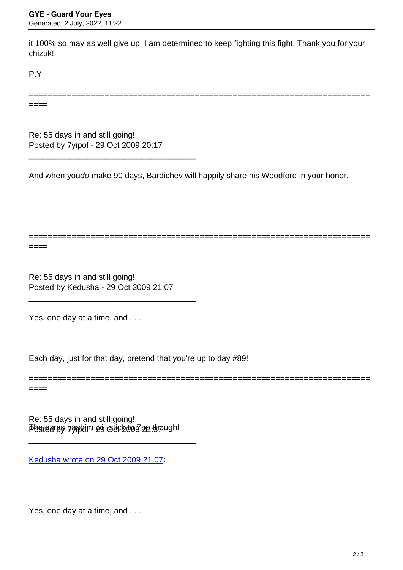it 100% so may as well give up. I am determined to keep fighting this fight. Thank you for your chizuk!

P.Y.

======================================================================== ====

Re: 55 days in and still going!! Posted by 7yipol - 29 Oct 2009 20:17

\_\_\_\_\_\_\_\_\_\_\_\_\_\_\_\_\_\_\_\_\_\_\_\_\_\_\_\_\_\_\_\_\_\_\_\_\_

And when youdo make 90 days, Bardichev will happily share his Woodford in your honor.

========================================================================

========================================================================

====

Re: 55 days in and still going!! Posted by Kedusha - 29 Oct 2009 21:07

\_\_\_\_\_\_\_\_\_\_\_\_\_\_\_\_\_\_\_\_\_\_\_\_\_\_\_\_\_\_\_\_\_\_\_\_\_

Yes, one day at a time, and . . .

Each day, just for that day, pretend that you're up to day #89!

====

 $\bar{\bm{\bar{\rho}}}$ betearaş nashim zollotic zoo $\bar{g}$ ızı though! Re: 55 days in and still going!!

\_\_\_\_\_\_\_\_\_\_\_\_\_\_\_\_\_\_\_\_\_\_\_\_\_\_\_\_\_\_\_\_\_\_\_\_\_

[Kedusha wrote on 29 Oct 2009 21:07](/forum/id-)**:**

Yes, one day at a time, and . . .